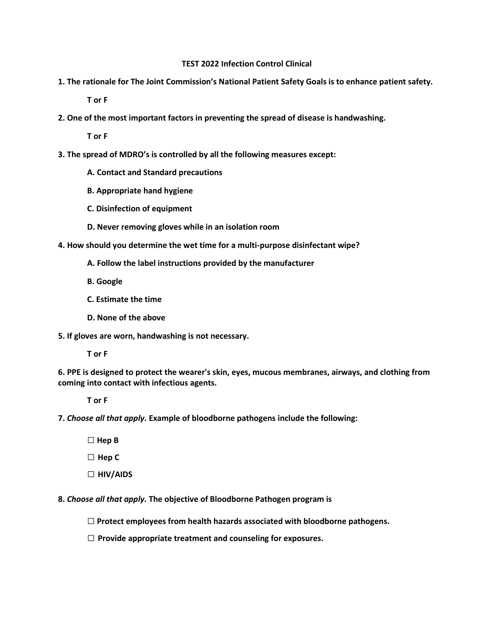## **TEST 2022 Infection Control Clinical**

**1. The rationale for The Joint Commission's National Patient Safety Goals is to enhance patient safety.** 

**T or F** 

**2. One of the most important factors in preventing the spread of disease is handwashing.** 

**T or F** 

- **3. The spread of MDRO's is controlled by all the following measures except:** 
	- **A. Contact and Standard precautions**
	- **B. Appropriate hand hygiene**
	- **C. Disinfection of equipment**
	- **D. Never removing gloves while in an isolation room**
- **4. How should you determine the wet time for a multi-purpose disinfectant wipe?**
	- **A. Follow the label instructions provided by the manufacturer**
	- **B. Google**
	- **C. Estimate the time**
	- **D. None of the above**
- **5. If gloves are worn, handwashing is not necessary.**

 **T or F** 

**6. PPE is designed to protect the wearer's skin, eyes, mucous membranes, airways, and clothing from coming into contact with infectious agents.** 

 **T or F** 

**7.** *Choose all that apply.* **Example of bloodborne pathogens include the following:**

**□ Hep B**

**□ Hep C**

**□ HIV/AIDS**

**8.** *Choose all that apply.* **The objective of Bloodborne Pathogen program is**

**□ Protect employees from health hazards associated with bloodborne pathogens.** 

**□ Provide appropriate treatment and counseling for exposures.**